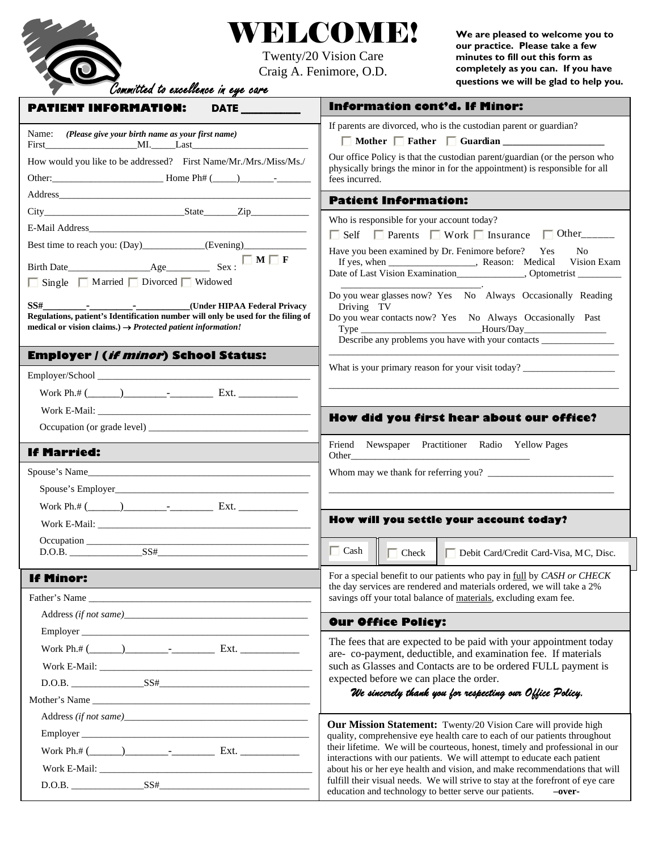

## WELCOME!

Twenty/20 Vision Care Craig A. Fenimore, O.D. **We are pleased to welcome you to our practice. Please take a few minutes to fill out this form as completely as you can. If you have questions we will be glad to help you.**

| <b>PATIENT INFORMATION:</b><br><b>DATE</b>                                                                                                                                                                                     | <b>Information cont'd. If Minor:</b>                                                                                                                                                                                                                                               |
|--------------------------------------------------------------------------------------------------------------------------------------------------------------------------------------------------------------------------------|------------------------------------------------------------------------------------------------------------------------------------------------------------------------------------------------------------------------------------------------------------------------------------|
| Name: (Please give your birth name as your first name)                                                                                                                                                                         | If parents are divorced, who is the custodian parent or guardian?                                                                                                                                                                                                                  |
|                                                                                                                                                                                                                                | Mother Father Guardian                                                                                                                                                                                                                                                             |
| How would you like to be addressed? First Name/Mr./Mrs./Miss/Ms./                                                                                                                                                              | Our office Policy is that the custodian parent/guardian (or the person who<br>physically brings the minor in for the appointment) is responsible for all                                                                                                                           |
|                                                                                                                                                                                                                                | fees incurred.                                                                                                                                                                                                                                                                     |
| Address and the contract of the contract of the contract of the contract of the contract of the contract of the contract of the contract of the contract of the contract of the contract of the contract of the contract of th | <b>Patient Information:</b>                                                                                                                                                                                                                                                        |
|                                                                                                                                                                                                                                | Who is responsible for your account today?                                                                                                                                                                                                                                         |
|                                                                                                                                                                                                                                | $\Box$ Self $\Box$ Parents $\Box$ Work $\Box$ Insurance $\Box$ Other                                                                                                                                                                                                               |
| Best time to reach you: (Day)____________(Evening)______________________________                                                                                                                                               | Have you been examined by Dr. Fenimore before? Yes<br>No.                                                                                                                                                                                                                          |
| $\Box$ M $\Box$ F                                                                                                                                                                                                              |                                                                                                                                                                                                                                                                                    |
| □ Single □ Married □ Divorced □ Widowed                                                                                                                                                                                        |                                                                                                                                                                                                                                                                                    |
| SS# ________________________________(Under HIPAA Federal Privacy                                                                                                                                                               | Do you wear glasses now? Yes No Always Occasionally Reading                                                                                                                                                                                                                        |
| Regulations, patient's Identification number will only be used for the filing of                                                                                                                                               | Driving TV<br>Do you wear contacts now? Yes No Always Occasionally Past                                                                                                                                                                                                            |
| medical or vision claims.) $\rightarrow$ Protected patient information!                                                                                                                                                        | Describe any problems you have with your contacts _______________________________                                                                                                                                                                                                  |
| <b>Employer / (if minor) School Status:</b>                                                                                                                                                                                    |                                                                                                                                                                                                                                                                                    |
|                                                                                                                                                                                                                                | What is your primary reason for your visit today? ______________________________                                                                                                                                                                                                   |
|                                                                                                                                                                                                                                |                                                                                                                                                                                                                                                                                    |
|                                                                                                                                                                                                                                |                                                                                                                                                                                                                                                                                    |
|                                                                                                                                                                                                                                | How did you first hear about our office?                                                                                                                                                                                                                                           |
|                                                                                                                                                                                                                                |                                                                                                                                                                                                                                                                                    |
| <b>If Married:</b>                                                                                                                                                                                                             | Friend Newspaper Practitioner Radio Yellow Pages<br>Other contract the contract of the contract of the contract of the contract of the contract of the contract of the contract of the contract of the contract of the contract of the contract of the contract of the contract of |
| Spouse's Name                                                                                                                                                                                                                  |                                                                                                                                                                                                                                                                                    |
|                                                                                                                                                                                                                                |                                                                                                                                                                                                                                                                                    |
|                                                                                                                                                                                                                                |                                                                                                                                                                                                                                                                                    |
|                                                                                                                                                                                                                                | How will you settle your account today?                                                                                                                                                                                                                                            |
|                                                                                                                                                                                                                                |                                                                                                                                                                                                                                                                                    |
|                                                                                                                                                                                                                                | Cash   Check<br>Debit Card/Credit Card-Visa, MC, Disc.                                                                                                                                                                                                                             |
| <b>If Minor:</b>                                                                                                                                                                                                               | For a special benefit to our patients who pay in full by CASH or CHECK                                                                                                                                                                                                             |
| Father's Name                                                                                                                                                                                                                  | the day services are rendered and materials ordered, we will take a 2%<br>savings off your total balance of materials, excluding exam fee.                                                                                                                                         |
|                                                                                                                                                                                                                                |                                                                                                                                                                                                                                                                                    |
|                                                                                                                                                                                                                                | <b>Our Office Policy:</b>                                                                                                                                                                                                                                                          |
|                                                                                                                                                                                                                                | The fees that are expected to be paid with your appointment today                                                                                                                                                                                                                  |
|                                                                                                                                                                                                                                | are-co-payment, deductible, and examination fee. If materials<br>such as Glasses and Contacts are to be ordered FULL payment is                                                                                                                                                    |
|                                                                                                                                                                                                                                | expected before we can place the order.                                                                                                                                                                                                                                            |
|                                                                                                                                                                                                                                | We sincerely thank you for respecting our Office Policy.                                                                                                                                                                                                                           |
|                                                                                                                                                                                                                                |                                                                                                                                                                                                                                                                                    |
|                                                                                                                                                                                                                                | Our Mission Statement: Twenty/20 Vision Care will provide high<br>quality, comprehensive eye health care to each of our patients throughout                                                                                                                                        |
|                                                                                                                                                                                                                                | their lifetime. We will be courteous, honest, timely and professional in our                                                                                                                                                                                                       |
|                                                                                                                                                                                                                                | interactions with our patients. We will attempt to educate each patient<br>about his or her eye health and vision, and make recommendations that will                                                                                                                              |
|                                                                                                                                                                                                                                | fulfill their visual needs. We will strive to stay at the forefront of eye care                                                                                                                                                                                                    |
|                                                                                                                                                                                                                                | education and technology to better serve our patients.<br>-over-                                                                                                                                                                                                                   |